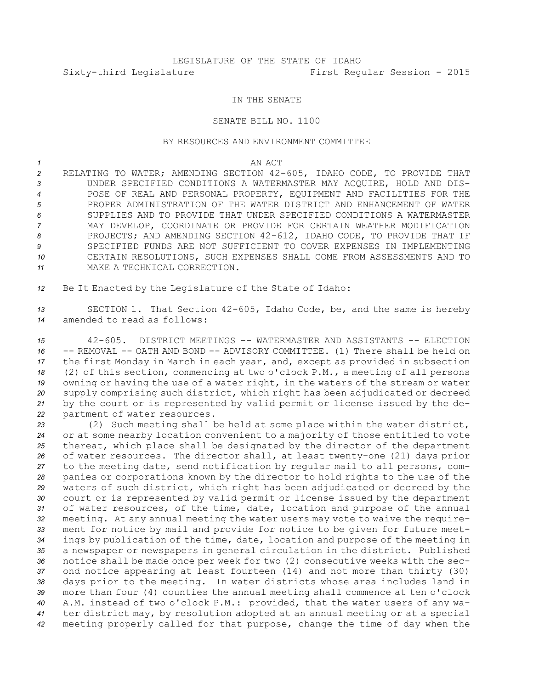## IN THE SENATE

## SENATE BILL NO. 1100

## BY RESOURCES AND ENVIRONMENT COMMITTEE

*1* AN ACT

 RELATING TO WATER; AMENDING SECTION 42-605, IDAHO CODE, TO PROVIDE THAT UNDER SPECIFIED CONDITIONS A WATERMASTER MAY ACQUIRE, HOLD AND DIS- POSE OF REAL AND PERSONAL PROPERTY, EQUIPMENT AND FACILITIES FOR THE PROPER ADMINISTRATION OF THE WATER DISTRICT AND ENHANCEMENT OF WATER SUPPLIES AND TO PROVIDE THAT UNDER SPECIFIED CONDITIONS A WATERMASTER MAY DEVELOP, COORDINATE OR PROVIDE FOR CERTAIN WEATHER MODIFICATION PROJECTS; AND AMENDING SECTION 42-612, IDAHO CODE, TO PROVIDE THAT IF SPECIFIED FUNDS ARE NOT SUFFICIENT TO COVER EXPENSES IN IMPLEMENTING CERTAIN RESOLUTIONS, SUCH EXPENSES SHALL COME FROM ASSESSMENTS AND TO MAKE A TECHNICAL CORRECTION.

*<sup>12</sup>* Be It Enacted by the Legislature of the State of Idaho:

*<sup>13</sup>* SECTION 1. That Section 42-605, Idaho Code, be, and the same is hereby *14* amended to read as follows:

 42-605. DISTRICT MEETINGS -- WATERMASTER AND ASSISTANTS -- ELECTION -- REMOVAL -- OATH AND BOND -- ADVISORY COMMITTEE. (1) There shall be held on the first Monday in March in each year, and, except as provided in subsection (2) of this section, commencing at two <sup>o</sup>'clock P.M., <sup>a</sup> meeting of all persons owning or having the use of <sup>a</sup> water right, in the waters of the stream or water supply comprising such district, which right has been adjudicated or decreed by the court or is represented by valid permit or license issued by the de-partment of water resources.

 (2) Such meeting shall be held at some place within the water district, or at some nearby location convenient to <sup>a</sup> majority of those entitled to vote thereat, which place shall be designated by the director of the department of water resources. The director shall, at least twenty-one (21) days prior to the meeting date, send notification by regular mail to all persons, com- panies or corporations known by the director to hold rights to the use of the waters of such district, which right has been adjudicated or decreed by the court or is represented by valid permit or license issued by the department of water resources, of the time, date, location and purpose of the annual meeting. At any annual meeting the water users may vote to waive the require- ment for notice by mail and provide for notice to be given for future meet- ings by publication of the time, date, location and purpose of the meeting in <sup>a</sup> newspaper or newspapers in general circulation in the district. Published notice shall be made once per week for two (2) consecutive weeks with the sec- ond notice appearing at least fourteen (14) and not more than thirty (30) days prior to the meeting. In water districts whose area includes land in more than four (4) counties the annual meeting shall commence at ten <sup>o</sup>'clock A.M. instead of two <sup>o</sup>'clock P.M.: provided, that the water users of any wa- ter district may, by resolution adopted at an annual meeting or at <sup>a</sup> special meeting properly called for that purpose, change the time of day when the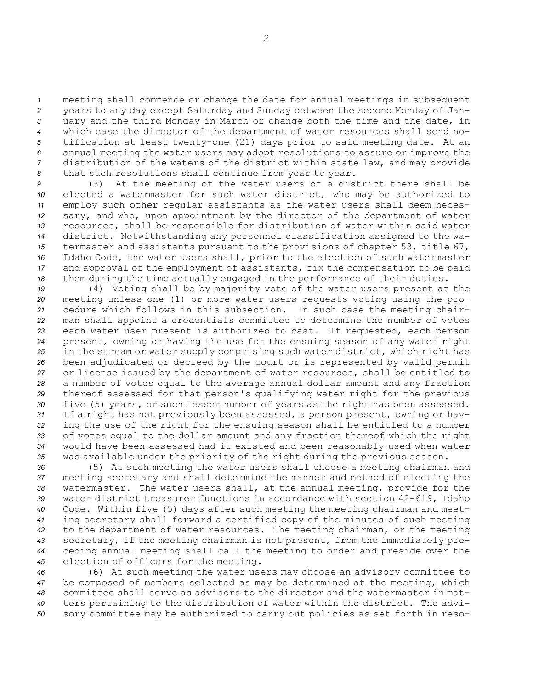meeting shall commence or change the date for annual meetings in subsequent years to any day except Saturday and Sunday between the second Monday of Jan- uary and the third Monday in March or change both the time and the date, in which case the director of the department of water resources shall send no- tification at least twenty-one (21) days prior to said meeting date. At an annual meeting the water users may adopt resolutions to assure or improve the distribution of the waters of the district within state law, and may provide that such resolutions shall continue from year to year.

 (3) At the meeting of the water users of <sup>a</sup> district there shall be elected <sup>a</sup> watermaster for such water district, who may be authorized to employ such other regular assistants as the water users shall deem neces- sary, and who, upon appointment by the director of the department of water resources, shall be responsible for distribution of water within said water district. Notwithstanding any personnel classification assigned to the wa- termaster and assistants pursuant to the provisions of chapter 53, title 67, Idaho Code, the water users shall, prior to the election of such watermaster and approval of the employment of assistants, fix the compensation to be paid them during the time actually engaged in the performance of their duties.

 (4) Voting shall be by majority vote of the water users present at the meeting unless one (1) or more water users requests voting using the pro- cedure which follows in this subsection. In such case the meeting chair- man shall appoint <sup>a</sup> credentials committee to determine the number of votes each water user present is authorized to cast. If requested, each person present, owning or having the use for the ensuing season of any water right in the stream or water supply comprising such water district, which right has been adjudicated or decreed by the court or is represented by valid permit or license issued by the department of water resources, shall be entitled to <sup>a</sup> number of votes equal to the average annual dollar amount and any fraction thereof assessed for that person's qualifying water right for the previous five (5) years, or such lesser number of years as the right has been assessed. If <sup>a</sup> right has not previously been assessed, <sup>a</sup> person present, owning or hav- ing the use of the right for the ensuing season shall be entitled to <sup>a</sup> number of votes equal to the dollar amount and any fraction thereof which the right would have been assessed had it existed and been reasonably used when water was available under the priority of the right during the previous season.

 (5) At such meeting the water users shall choose <sup>a</sup> meeting chairman and meeting secretary and shall determine the manner and method of electing the watermaster. The water users shall, at the annual meeting, provide for the water district treasurer functions in accordance with section 42-619, Idaho Code. Within five (5) days after such meeting the meeting chairman and meet- ing secretary shall forward <sup>a</sup> certified copy of the minutes of such meeting to the department of water resources. The meeting chairman, or the meeting secretary, if the meeting chairman is not present, from the immediately pre- ceding annual meeting shall call the meeting to order and preside over the election of officers for the meeting.

 (6) At such meeting the water users may choose an advisory committee to be composed of members selected as may be determined at the meeting, which committee shall serve as advisors to the director and the watermaster in mat- ters pertaining to the distribution of water within the district. The advi-sory committee may be authorized to carry out policies as set forth in reso-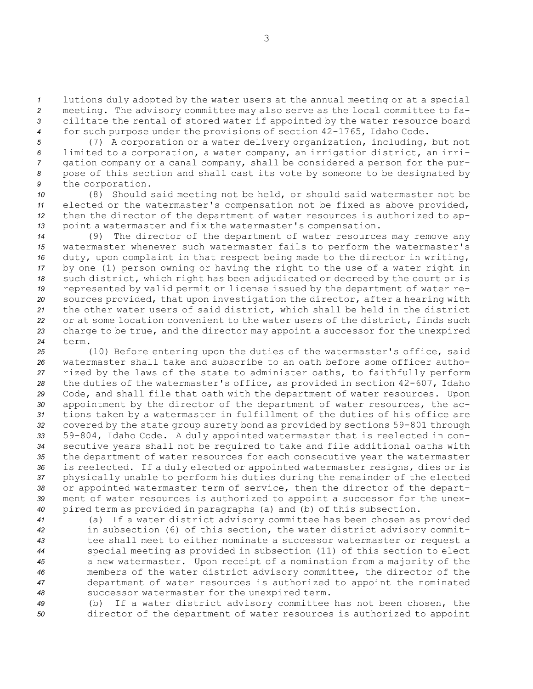lutions duly adopted by the water users at the annual meeting or at <sup>a</sup> special meeting. The advisory committee may also serve as the local committee to fa- cilitate the rental of stored water if appointed by the water resource board for such purpose under the provisions of section 42-1765, Idaho Code.

 (7) <sup>A</sup> corporation or <sup>a</sup> water delivery organization, including, but not limited to <sup>a</sup> corporation, <sup>a</sup> water company, an irrigation district, an irri- gation company or <sup>a</sup> canal company, shall be considered <sup>a</sup> person for the pur- pose of this section and shall cast its vote by someone to be designated by the corporation.

 (8) Should said meeting not be held, or should said watermaster not be elected or the watermaster's compensation not be fixed as above provided, then the director of the department of water resources is authorized to ap-point <sup>a</sup> watermaster and fix the watermaster's compensation.

 (9) The director of the department of water resources may remove any watermaster whenever such watermaster fails to perform the watermaster's duty, upon complaint in that respect being made to the director in writing, by one (1) person owning or having the right to the use of <sup>a</sup> water right in such district, which right has been adjudicated or decreed by the court or is represented by valid permit or license issued by the department of water re- sources provided, that upon investigation the director, after <sup>a</sup> hearing with the other water users of said district, which shall be held in the district or at some location convenient to the water users of the district, finds such charge to be true, and the director may appoint <sup>a</sup> successor for the unexpired *24* term.

 (10) Before entering upon the duties of the watermaster's office, said watermaster shall take and subscribe to an oath before some officer autho- rized by the laws of the state to administer oaths, to faithfully perform the duties of the watermaster's office, as provided in section 42-607, Idaho Code, and shall file that oath with the department of water resources. Upon appointment by the director of the department of water resources, the ac- tions taken by <sup>a</sup> watermaster in fulfillment of the duties of his office are covered by the state group surety bond as provided by sections 59-801 through 59-804, Idaho Code. <sup>A</sup> duly appointed watermaster that is reelected in con- secutive years shall not be required to take and file additional oaths with the department of water resources for each consecutive year the watermaster is reelected. If <sup>a</sup> duly elected or appointed watermaster resigns, dies or is physically unable to perform his duties during the remainder of the elected or appointed watermaster term of service, then the director of the depart- ment of water resources is authorized to appoint <sup>a</sup> successor for the unex-pired term as provided in paragraphs (a) and (b) of this subsection.

 (a) If <sup>a</sup> water district advisory committee has been chosen as provided in subsection (6) of this section, the water district advisory commit- tee shall meet to either nominate <sup>a</sup> successor watermaster or request <sup>a</sup> special meeting as provided in subsection (11) of this section to elect <sup>a</sup> new watermaster. Upon receipt of <sup>a</sup> nomination from <sup>a</sup> majority of the members of the water district advisory committee, the director of the department of water resources is authorized to appoint the nominated successor watermaster for the unexpired term.

*<sup>49</sup>* (b) If <sup>a</sup> water district advisory committee has not been chosen, the *<sup>50</sup>* director of the department of water resources is authorized to appoint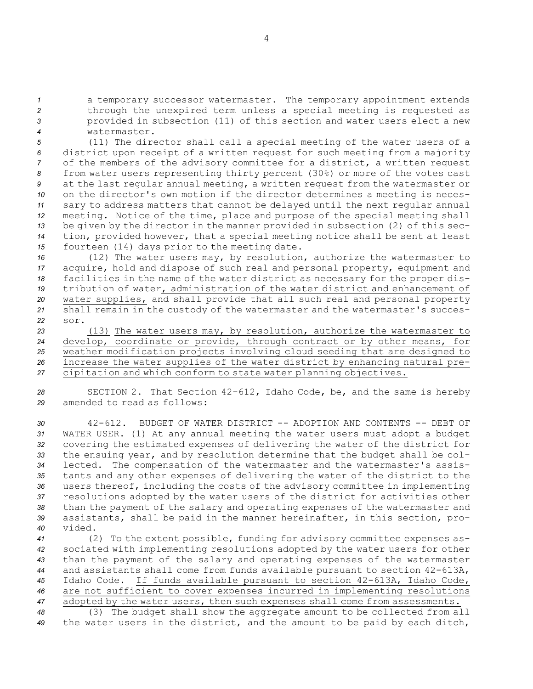<sup>a</sup> temporary successor watermaster. The temporary appointment extends through the unexpired term unless <sup>a</sup> special meeting is requested as provided in subsection (11) of this section and water users elect <sup>a</sup> new watermaster.

 (11) The director shall call <sup>a</sup> special meeting of the water users of <sup>a</sup> district upon receipt of <sup>a</sup> written request for such meeting from <sup>a</sup> majority of the members of the advisory committee for <sup>a</sup> district, <sup>a</sup> written request from water users representing thirty percent (30%) or more of the votes cast at the last regular annual meeting, <sup>a</sup> written request from the watermaster or on the director's own motion if the director determines <sup>a</sup> meeting is neces- sary to address matters that cannot be delayed until the next regular annual meeting. Notice of the time, place and purpose of the special meeting shall be given by the director in the manner provided in subsection (2) of this sec- tion, provided however, that <sup>a</sup> special meeting notice shall be sent at least fourteen (14) days prior to the meeting date.

 (12) The water users may, by resolution, authorize the watermaster to acquire, hold and dispose of such real and personal property, equipment and facilities in the name of the water district as necessary for the proper dis- tribution of water, administration of the water district and enhancement of water supplies, and shall provide that all such real and personal property shall remain in the custody of the watermaster and the watermaster's succes-*22* sor.

 (13) The water users may, by resolution, authorize the watermaster to develop, coordinate or provide, through contract or by other means, for weather modification projects involving cloud seeding that are designed to increase the water supplies of the water district by enhancing natural pre-cipitation and which conform to state water planning objectives.

*<sup>28</sup>* SECTION 2. That Section 42-612, Idaho Code, be, and the same is hereby *29* amended to read as follows:

 42-612. BUDGET OF WATER DISTRICT -- ADOPTION AND CONTENTS -- DEBT OF WATER USER. (1) At any annual meeting the water users must adopt <sup>a</sup> budget covering the estimated expenses of delivering the water of the district for the ensuing year, and by resolution determine that the budget shall be col- lected. The compensation of the watermaster and the watermaster's assis- tants and any other expenses of delivering the water of the district to the users thereof, including the costs of the advisory committee in implementing resolutions adopted by the water users of the district for activities other than the payment of the salary and operating expenses of the watermaster and assistants, shall be paid in the manner hereinafter, in this section, pro-*40* vided.

 (2) To the extent possible, funding for advisory committee expenses as- sociated with implementing resolutions adopted by the water users for other than the payment of the salary and operating expenses of the watermaster and assistants shall come from funds available pursuant to section 42-613A, Idaho Code. If funds available pursuant to section 42-613A, Idaho Code, are not sufficient to cover expenses incurred in implementing resolutions adopted by the water users, then such expenses shall come from assessments.

*<sup>48</sup>* (3) The budget shall show the aggregate amount to be collected from all *<sup>49</sup>* the water users in the district, and the amount to be paid by each ditch,